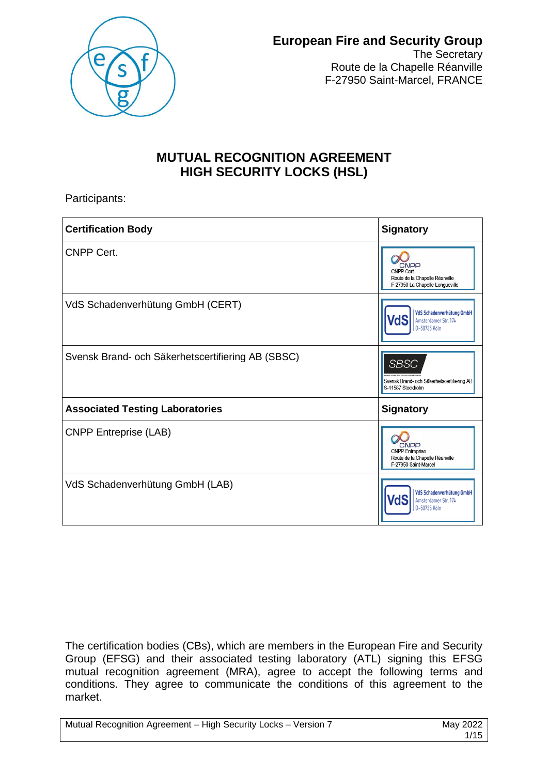

The Secretary Route de la Chapelle Réanville F-27950 Saint-Marcel, FRANCE

## **MUTUAL RECOGNITION AGREEMENT HIGH SECURITY LOCKS (HSL)**

Participants:

| <b>Certification Body</b>                         | <b>Signatory</b>                                                                         |  |
|---------------------------------------------------|------------------------------------------------------------------------------------------|--|
| <b>CNPP Cert.</b>                                 | CNPP<br>CNPP Cert.<br>Route de la Chapelle Réanville<br>F-27950 La Chapelle-Longueville  |  |
| VdS Schadenverhütung GmbH (CERT)                  | <b>VdS Schadenverhütung GmbH</b><br>/dS<br>Amsterdamer Str. 174<br>D-50735 Köln          |  |
| Svensk Brand- och Säkerhetscertifiering AB (SBSC) | <b>SBSC</b><br>Svensk Brand- och Säkerhetscertifiering AB<br>S-11587 Stockholm           |  |
| <b>Associated Testing Laboratories</b>            | <b>Signatory</b>                                                                         |  |
| <b>CNPP Entreprise (LAB)</b>                      | CNPP<br><b>CNPP</b> Entreprise<br>Route de la Chapelle Réanville<br>F-27950 Saint-Marcel |  |
| VdS Schadenverhütung GmbH (LAB)                   | VdS Schadenverhütung GmbH<br>VdS<br>Amsterdamer Str. 174<br>D-50735 Köln                 |  |

The certification bodies (CBs), which are members in the European Fire and Security Group (EFSG) and their associated testing laboratory (ATL) signing this EFSG mutual recognition agreement (MRA), agree to accept the following terms and conditions. They agree to communicate the conditions of this agreement to the market.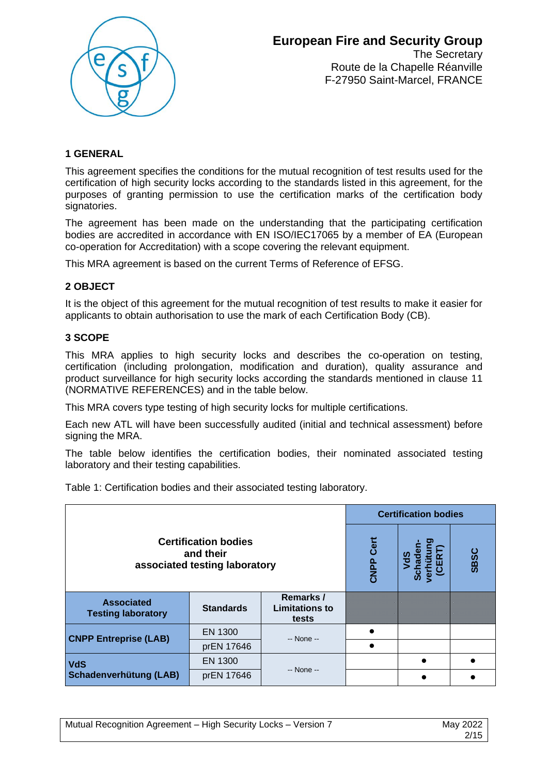

The Secretary Route de la Chapelle Réanville F-27950 Saint-Marcel, FRANCE

## **1 GENERAL**

This agreement specifies the conditions for the mutual recognition of test results used for the certification of high security locks according to the standards listed in this agreement, for the purposes of granting permission to use the certification marks of the certification body signatories.

The agreement has been made on the understanding that the participating certification bodies are accredited in accordance with EN ISO/IEC17065 by a member of EA (European co-operation for Accreditation) with a scope covering the relevant equipment.

This MRA agreement is based on the current Terms of Reference of EFSG.

## **2 OBJECT**

It is the object of this agreement for the mutual recognition of test results to make it easier for applicants to obtain authorisation to use the mark of each Certification Body (CB).

## **3 SCOPE**

This MRA applies to high security locks and describes the co-operation on testing, certification (including prolongation, modification and duration), quality assurance and product surveillance for high security locks according the standards mentioned in clause 11 (NORMATIVE REFERENCES) and in the table below.

This MRA covers type testing of high security locks for multiple certifications.

Each new ATL will have been successfully audited (initial and technical assessment) before signing the MRA.

The table below identifies the certification bodies, their nominated associated testing laboratory and their testing capabilities.

Table 1: Certification bodies and their associated testing laboratory.

|                                                                           |                  |                                             | <b>Certification bodies</b> |  |             |
|---------------------------------------------------------------------------|------------------|---------------------------------------------|-----------------------------|--|-------------|
| <b>Certification bodies</b><br>and their<br>associated testing laboratory |                  |                                             | Cert<br>CNPP                |  | <b>SBSC</b> |
| <b>Associated</b><br><b>Testing laboratory</b>                            | <b>Standards</b> | Remarks /<br><b>Limitations to</b><br>tests |                             |  |             |
| <b>CNPP Entreprise (LAB)</b>                                              | EN 1300          | -- None --                                  |                             |  |             |
|                                                                           | prEN 17646       |                                             |                             |  |             |
| <b>VdS</b><br>Schadenverhütung (LAB)                                      | EN 1300          | -- None --                                  |                             |  |             |
|                                                                           | prEN 17646       |                                             |                             |  |             |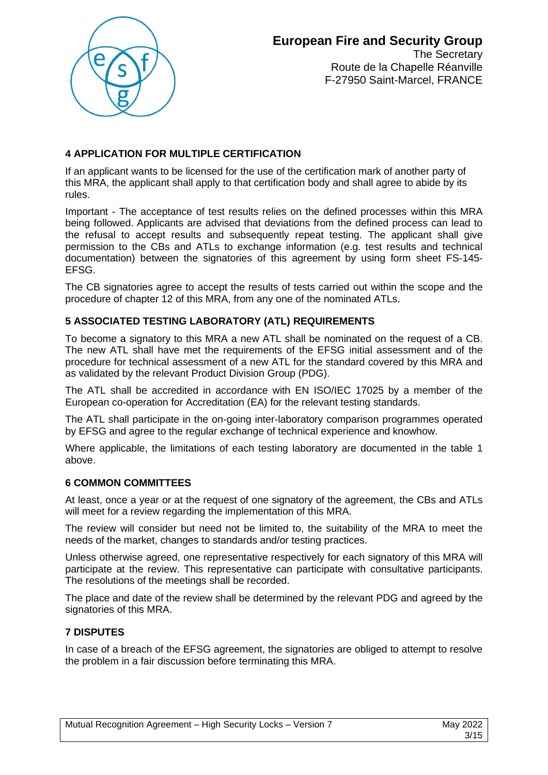

The Secretary Route de la Chapelle Réanville F-27950 Saint-Marcel, FRANCE

## **4 APPLICATION FOR MULTIPLE CERTIFICATION**

If an applicant wants to be licensed for the use of the certification mark of another party of this MRA, the applicant shall apply to that certification body and shall agree to abide by its rules.

Important - The acceptance of test results relies on the defined processes within this MRA being followed. Applicants are advised that deviations from the defined process can lead to the refusal to accept results and subsequently repeat testing. The applicant shall give permission to the CBs and ATLs to exchange information (e.g. test results and technical documentation) between the signatories of this agreement by using form sheet FS-145- EFSG.

The CB signatories agree to accept the results of tests carried out within the scope and the procedure of chapter 12 of this MRA, from any one of the nominated ATLs.

## **5 ASSOCIATED TESTING LABORATORY (ATL) REQUIREMENTS**

To become a signatory to this MRA a new ATL shall be nominated on the request of a CB. The new ATL shall have met the requirements of the EFSG initial assessment and of the procedure for technical assessment of a new ATL for the standard covered by this MRA and as validated by the relevant Product Division Group (PDG).

The ATL shall be accredited in accordance with EN ISO/IEC 17025 by a member of the European co-operation for Accreditation (EA) for the relevant testing standards.

The ATL shall participate in the on-going inter-laboratory comparison programmes operated by EFSG and agree to the regular exchange of technical experience and knowhow.

Where applicable, the limitations of each testing laboratory are documented in the table 1 above.

## **6 COMMON COMMITTEES**

At least, once a year or at the request of one signatory of the agreement, the CBs and ATLs will meet for a review regarding the implementation of this MRA.

The review will consider but need not be limited to, the suitability of the MRA to meet the needs of the market, changes to standards and/or testing practices.

Unless otherwise agreed, one representative respectively for each signatory of this MRA will participate at the review. This representative can participate with consultative participants. The resolutions of the meetings shall be recorded.

The place and date of the review shall be determined by the relevant PDG and agreed by the signatories of this MRA.

## **7 DISPUTES**

In case of a breach of the EFSG agreement, the signatories are obliged to attempt to resolve the problem in a fair discussion before terminating this MRA.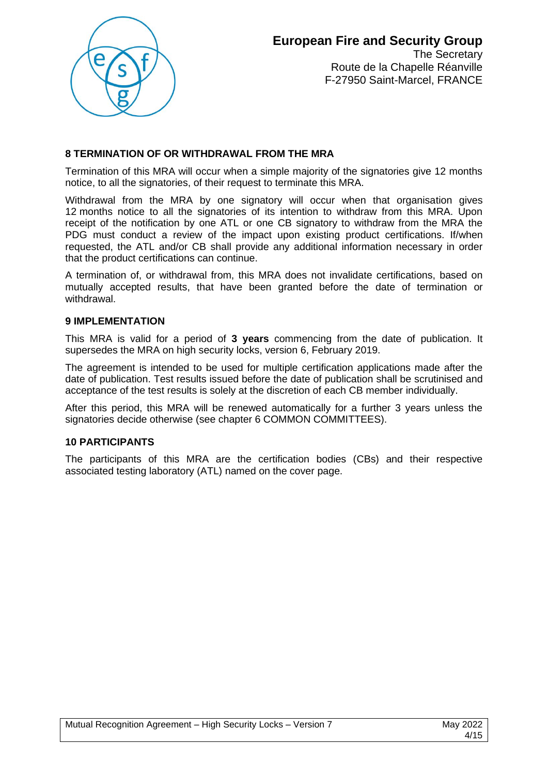

The Secretary Route de la Chapelle Réanville F-27950 Saint-Marcel, FRANCE

## **8 TERMINATION OF OR WITHDRAWAL FROM THE MRA**

Termination of this MRA will occur when a simple majority of the signatories give 12 months notice, to all the signatories, of their request to terminate this MRA.

Withdrawal from the MRA by one signatory will occur when that organisation gives 12 months notice to all the signatories of its intention to withdraw from this MRA. Upon receipt of the notification by one ATL or one CB signatory to withdraw from the MRA the PDG must conduct a review of the impact upon existing product certifications. If/when requested, the ATL and/or CB shall provide any additional information necessary in order that the product certifications can continue.

A termination of, or withdrawal from, this MRA does not invalidate certifications, based on mutually accepted results, that have been granted before the date of termination or withdrawal.

## **9 IMPLEMENTATION**

This MRA is valid for a period of **3 years** commencing from the date of publication. It supersedes the MRA on high security locks, version 6, February 2019.

The agreement is intended to be used for multiple certification applications made after the date of publication. Test results issued before the date of publication shall be scrutinised and acceptance of the test results is solely at the discretion of each CB member individually.

After this period, this MRA will be renewed automatically for a further 3 years unless the signatories decide otherwise (see chapter 6 COMMON COMMITTEES).

## **10 PARTICIPANTS**

The participants of this MRA are the certification bodies (CBs) and their respective associated testing laboratory (ATL) named on the cover page.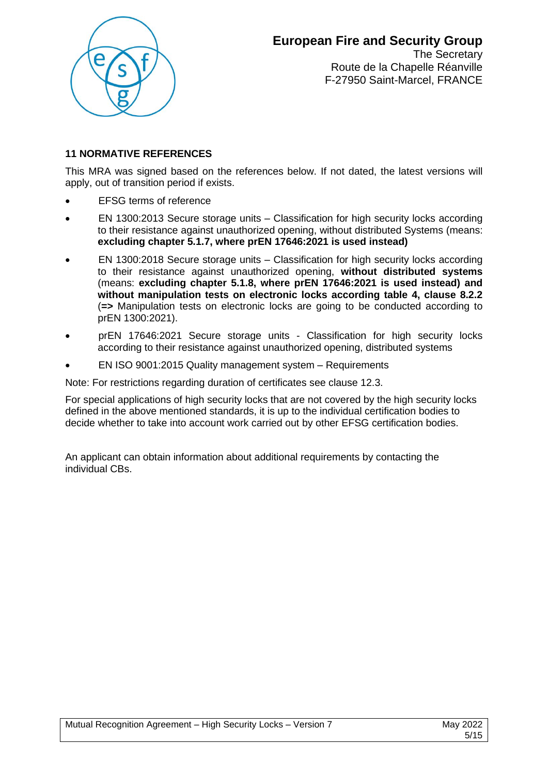

The Secretary Route de la Chapelle Réanville F-27950 Saint-Marcel, FRANCE

## **11 NORMATIVE REFERENCES**

This MRA was signed based on the references below. If not dated, the latest versions will apply, out of transition period if exists.

- EFSG terms of reference
- EN 1300:2013 Secure storage units Classification for high security locks according to their resistance against unauthorized opening, without distributed Systems (means: **excluding chapter 5.1.7, where prEN 17646:2021 is used instead)**
- EN 1300:2018 Secure storage units Classification for high security locks according to their resistance against unauthorized opening, **without distributed systems** (means: **excluding chapter 5.1.8, where prEN 17646:2021 is used instead) and without manipulation tests on electronic locks according table 4, clause 8.2.2**  (**=>** Manipulation tests on electronic locks are going to be conducted according to prEN 1300:2021).
- prEN 17646:2021 Secure storage units Classification for high security locks according to their resistance against unauthorized opening, distributed systems
- EN ISO 9001:2015 Quality management system Requirements

Note: For restrictions regarding duration of certificates see clause 12.3.

For special applications of high security locks that are not covered by the high security locks defined in the above mentioned standards, it is up to the individual certification bodies to decide whether to take into account work carried out by other EFSG certification bodies.

An applicant can obtain information about additional requirements by contacting the individual CBs.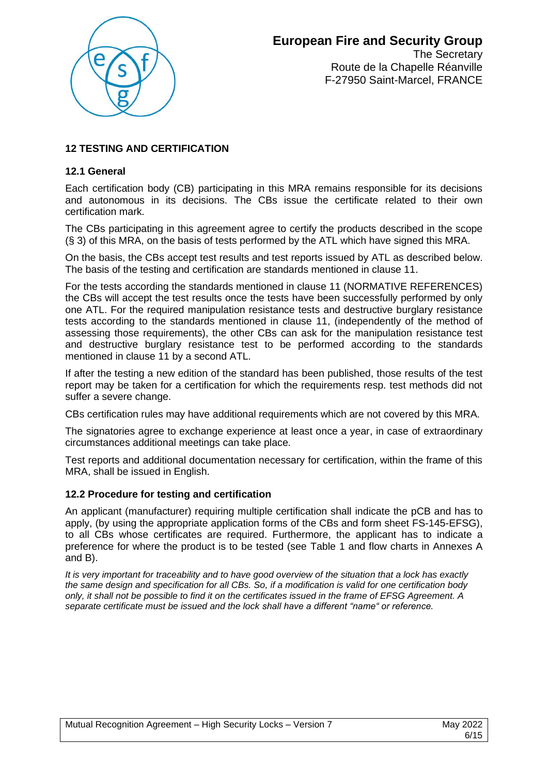

The Secretary Route de la Chapelle Réanville F-27950 Saint-Marcel, FRANCE

## **12 TESTING AND CERTIFICATION**

## **12.1 General**

Each certification body (CB) participating in this MRA remains responsible for its decisions and autonomous in its decisions. The CBs issue the certificate related to their own certification mark.

The CBs participating in this agreement agree to certify the products described in the scope (§ 3) of this MRA, on the basis of tests performed by the ATL which have signed this MRA.

On the basis, the CBs accept test results and test reports issued by ATL as described below. The basis of the testing and certification are standards mentioned in clause 11.

For the tests according the standards mentioned in clause 11 (NORMATIVE REFERENCES) the CBs will accept the test results once the tests have been successfully performed by only one ATL. For the required manipulation resistance tests and destructive burglary resistance tests according to the standards mentioned in clause 11, (independently of the method of assessing those requirements), the other CBs can ask for the manipulation resistance test and destructive burglary resistance test to be performed according to the standards mentioned in clause 11 by a second ATL.

If after the testing a new edition of the standard has been published, those results of the test report may be taken for a certification for which the requirements resp. test methods did not suffer a severe change.

CBs certification rules may have additional requirements which are not covered by this MRA.

The signatories agree to exchange experience at least once a year, in case of extraordinary circumstances additional meetings can take place.

Test reports and additional documentation necessary for certification, within the frame of this MRA, shall be issued in English.

#### **12.2 Procedure for testing and certification**

An applicant (manufacturer) requiring multiple certification shall indicate the pCB and has to apply, (by using the appropriate application forms of the CBs and form sheet FS-145-EFSG), to all CBs whose certificates are required. Furthermore, the applicant has to indicate a preference for where the product is to be tested (see Table 1 and flow charts in Annexes A and B).

*It is very important for traceability and to have good overview of the situation that a lock has exactly the same design and specification for all CBs. So, if a modification is valid for one certification body only, it shall not be possible to find it on the certificates issued in the frame of EFSG Agreement. A separate certificate must be issued and the lock shall have a different "name" or reference.*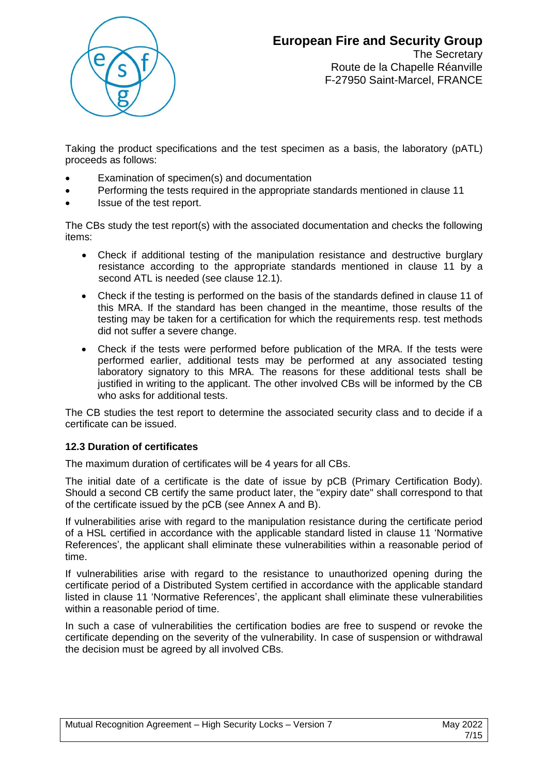

The Secretary Route de la Chapelle Réanville F-27950 Saint-Marcel, FRANCE

Taking the product specifications and the test specimen as a basis, the laboratory (pATL) proceeds as follows:

- Examination of specimen(s) and documentation
- Performing the tests required in the appropriate standards mentioned in clause 11
- Issue of the test report.

The CBs study the test report(s) with the associated documentation and checks the following items:

- Check if additional testing of the manipulation resistance and destructive burglary resistance according to the appropriate standards mentioned in clause 11 by a second ATL is needed (see clause 12.1).
- Check if the testing is performed on the basis of the standards defined in clause 11 of this MRA. If the standard has been changed in the meantime, those results of the testing may be taken for a certification for which the requirements resp. test methods did not suffer a severe change.
- Check if the tests were performed before publication of the MRA. If the tests were performed earlier, additional tests may be performed at any associated testing laboratory signatory to this MRA. The reasons for these additional tests shall be justified in writing to the applicant. The other involved CBs will be informed by the CB who asks for additional tests.

The CB studies the test report to determine the associated security class and to decide if a certificate can be issued.

## **12.3 Duration of certificates**

The maximum duration of certificates will be 4 years for all CBs.

The initial date of a certificate is the date of issue by pCB (Primary Certification Body). Should a second CB certify the same product later, the "expiry date" shall correspond to that of the certificate issued by the pCB (see Annex A and B).

If vulnerabilities arise with regard to the manipulation resistance during the certificate period of a HSL certified in accordance with the applicable standard listed in clause 11 'Normative References', the applicant shall eliminate these vulnerabilities within a reasonable period of time.

If vulnerabilities arise with regard to the resistance to unauthorized opening during the certificate period of a Distributed System certified in accordance with the applicable standard listed in clause 11 'Normative References', the applicant shall eliminate these vulnerabilities within a reasonable period of time.

In such a case of vulnerabilities the certification bodies are free to suspend or revoke the certificate depending on the severity of the vulnerability. In case of suspension or withdrawal the decision must be agreed by all involved CBs.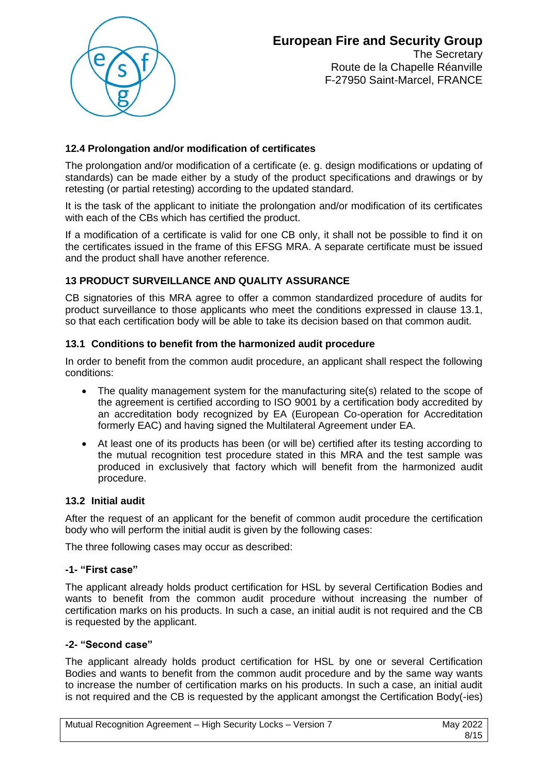

The Secretary Route de la Chapelle Réanville F-27950 Saint-Marcel, FRANCE

## **12.4 Prolongation and/or modification of certificates**

The prolongation and/or modification of a certificate (e. g. design modifications or updating of standards) can be made either by a study of the product specifications and drawings or by retesting (or partial retesting) according to the updated standard.

It is the task of the applicant to initiate the prolongation and/or modification of its certificates with each of the CBs which has certified the product.

If a modification of a certificate is valid for one CB only, it shall not be possible to find it on the certificates issued in the frame of this EFSG MRA. A separate certificate must be issued and the product shall have another reference.

## **13 PRODUCT SURVEILLANCE AND QUALITY ASSURANCE**

CB signatories of this MRA agree to offer a common standardized procedure of audits for product surveillance to those applicants who meet the conditions expressed in clause 13.1, so that each certification body will be able to take its decision based on that common audit.

## **13.1 Conditions to benefit from the harmonized audit procedure**

In order to benefit from the common audit procedure, an applicant shall respect the following conditions:

- The quality management system for the manufacturing site(s) related to the scope of the agreement is certified according to ISO 9001 by a certification body accredited by an accreditation body recognized by EA (European Co-operation for Accreditation formerly EAC) and having signed the Multilateral Agreement under EA.
- At least one of its products has been (or will be) certified after its testing according to the mutual recognition test procedure stated in this MRA and the test sample was produced in exclusively that factory which will benefit from the harmonized audit procedure.

#### **13.2 Initial audit**

After the request of an applicant for the benefit of common audit procedure the certification body who will perform the initial audit is given by the following cases:

The three following cases may occur as described:

## **-1- "First case"**

The applicant already holds product certification for HSL by several Certification Bodies and wants to benefit from the common audit procedure without increasing the number of certification marks on his products. In such a case, an initial audit is not required and the CB is requested by the applicant.

## **-2- "Second case"**

The applicant already holds product certification for HSL by one or several Certification Bodies and wants to benefit from the common audit procedure and by the same way wants to increase the number of certification marks on his products. In such a case, an initial audit is not required and the CB is requested by the applicant amongst the Certification Body(-ies)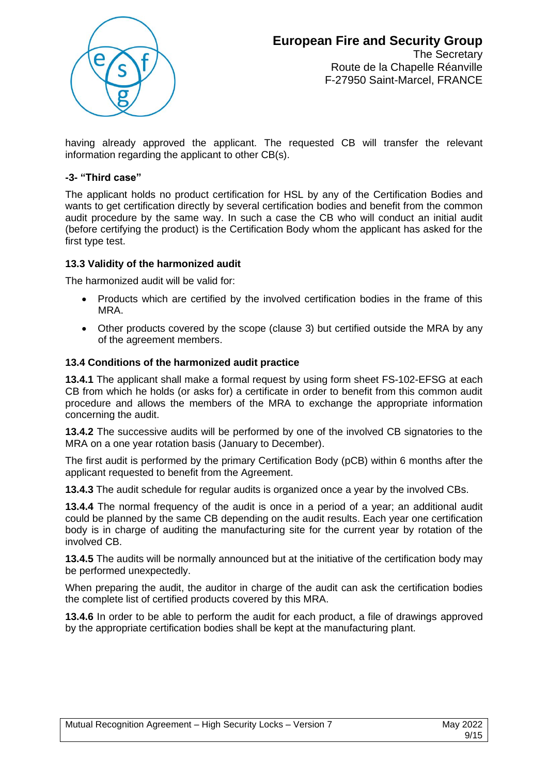

The Secretary Route de la Chapelle Réanville F-27950 Saint-Marcel, FRANCE

having already approved the applicant. The requested CB will transfer the relevant information regarding the applicant to other CB(s).

## **-3- "Third case"**

The applicant holds no product certification for HSL by any of the Certification Bodies and wants to get certification directly by several certification bodies and benefit from the common audit procedure by the same way. In such a case the CB who will conduct an initial audit (before certifying the product) is the Certification Body whom the applicant has asked for the first type test.

#### **13.3 Validity of the harmonized audit**

The harmonized audit will be valid for:

- Products which are certified by the involved certification bodies in the frame of this MRA.
- Other products covered by the scope (clause 3) but certified outside the MRA by any of the agreement members.

#### **13.4 Conditions of the harmonized audit practice**

**13.4.1** The applicant shall make a formal request by using form sheet FS-102-EFSG at each CB from which he holds (or asks for) a certificate in order to benefit from this common audit procedure and allows the members of the MRA to exchange the appropriate information concerning the audit.

**13.4.2** The successive audits will be performed by one of the involved CB signatories to the MRA on a one year rotation basis (January to December).

The first audit is performed by the primary Certification Body (pCB) within 6 months after the applicant requested to benefit from the Agreement.

**13.4.3** The audit schedule for regular audits is organized once a year by the involved CBs.

**13.4.4** The normal frequency of the audit is once in a period of a year; an additional audit could be planned by the same CB depending on the audit results. Each year one certification body is in charge of auditing the manufacturing site for the current year by rotation of the involved CB.

**13.4.5** The audits will be normally announced but at the initiative of the certification body may be performed unexpectedly.

When preparing the audit, the auditor in charge of the audit can ask the certification bodies the complete list of certified products covered by this MRA.

**13.4.6** In order to be able to perform the audit for each product, a file of drawings approved by the appropriate certification bodies shall be kept at the manufacturing plant.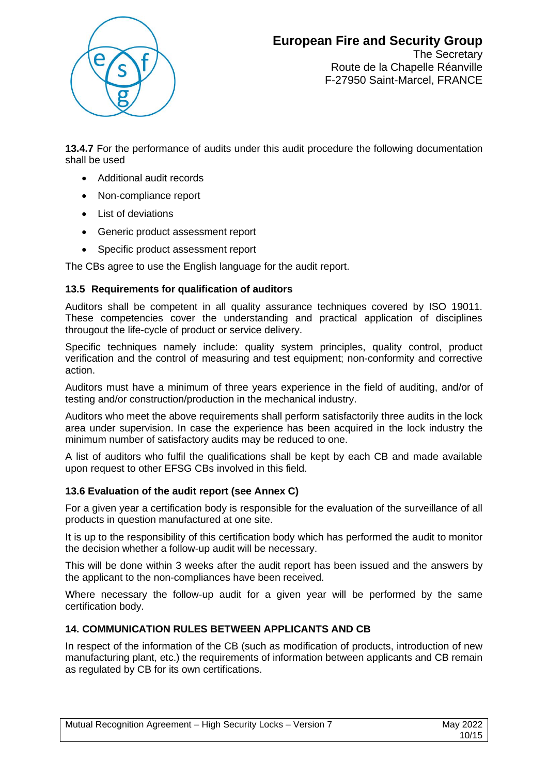

The Secretary Route de la Chapelle Réanville F-27950 Saint-Marcel, FRANCE

13.4.7 For the performance of audits under this audit procedure the following documentation shall be used

- Additional audit records
- Non-compliance report
- List of deviations
- Generic product assessment report
- Specific product assessment report

The CBs agree to use the English language for the audit report.

## **13.5 Requirements for qualification of auditors**

Auditors shall be competent in all quality assurance techniques covered by ISO 19011. These competencies cover the understanding and practical application of disciplines througout the life-cycle of product or service delivery.

Specific techniques namely include: quality system principles, quality control, product verification and the control of measuring and test equipment; non-conformity and corrective action.

Auditors must have a minimum of three years experience in the field of auditing, and/or of testing and/or construction/production in the mechanical industry.

Auditors who meet the above requirements shall perform satisfactorily three audits in the lock area under supervision. In case the experience has been acquired in the lock industry the minimum number of satisfactory audits may be reduced to one.

A list of auditors who fulfil the qualifications shall be kept by each CB and made available upon request to other EFSG CBs involved in this field.

## **13.6 Evaluation of the audit report (see Annex C)**

For a given year a certification body is responsible for the evaluation of the surveillance of all products in question manufactured at one site.

It is up to the responsibility of this certification body which has performed the audit to monitor the decision whether a follow-up audit will be necessary.

This will be done within 3 weeks after the audit report has been issued and the answers by the applicant to the non-compliances have been received.

Where necessary the follow-up audit for a given year will be performed by the same certification body.

## **14. COMMUNICATION RULES BETWEEN APPLICANTS AND CB**

In respect of the information of the CB (such as modification of products, introduction of new manufacturing plant, etc.) the requirements of information between applicants and CB remain as regulated by CB for its own certifications.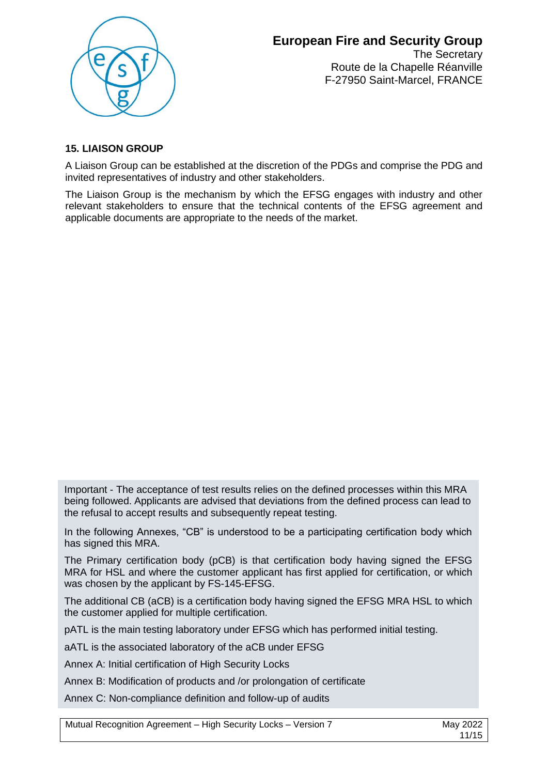

The Secretary Route de la Chapelle Réanville F-27950 Saint-Marcel, FRANCE

## **15. LIAISON GROUP**

A Liaison Group can be established at the discretion of the PDGs and comprise the PDG and invited representatives of industry and other stakeholders.

The Liaison Group is the mechanism by which the EFSG engages with industry and other relevant stakeholders to ensure that the technical contents of the EFSG agreement and applicable documents are appropriate to the needs of the market.

Important - The acceptance of test results relies on the defined processes within this MRA being followed. Applicants are advised that deviations from the defined process can lead to the refusal to accept results and subsequently repeat testing.

In the following Annexes, "CB" is understood to be a participating certification body which has signed this MRA.

The Primary certification body (pCB) is that certification body having signed the EFSG MRA for HSL and where the customer applicant has first applied for certification, or which was chosen by the applicant by FS-145-EFSG.

The additional CB (aCB) is a certification body having signed the EFSG MRA HSL to which the customer applied for multiple certification.

pATL is the main testing laboratory under EFSG which has performed initial testing.

aATL is the associated laboratory of the aCB under EFSG

Annex A: Initial certification of High Security Locks

Annex B: Modification of products and /or prolongation of certificate

Annex C: Non-compliance definition and follow-up of audits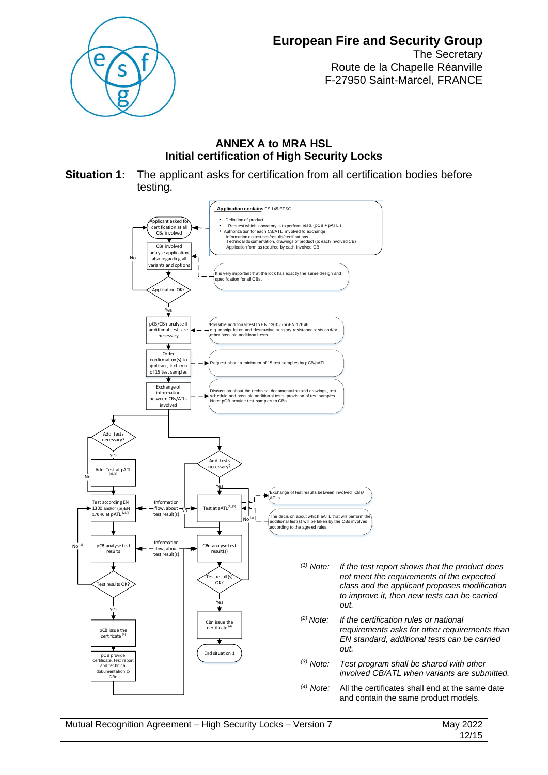

The Secretary Route de la Chapelle Réanville F-27950 Saint-Marcel, FRANCE

## **ANNEX A to MRA HSL Initial certification of High Security Locks**

**Situation 1:** The applicant asks for certification from all certification bodies before testing.

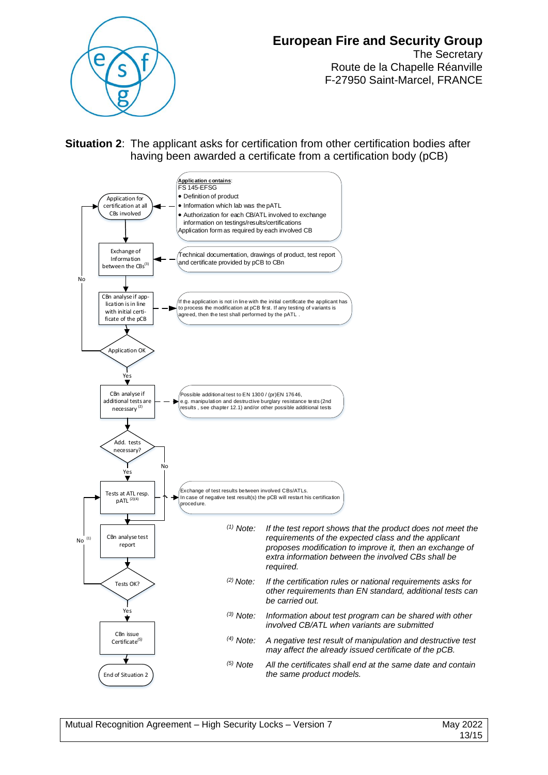

The Secretary Route de la Chapelle Réanville F-27950 Saint-Marcel, FRANCE

**Situation 2**: The applicant asks for certification from other certification bodies after having been awarded a certificate from a certification body (pCB)

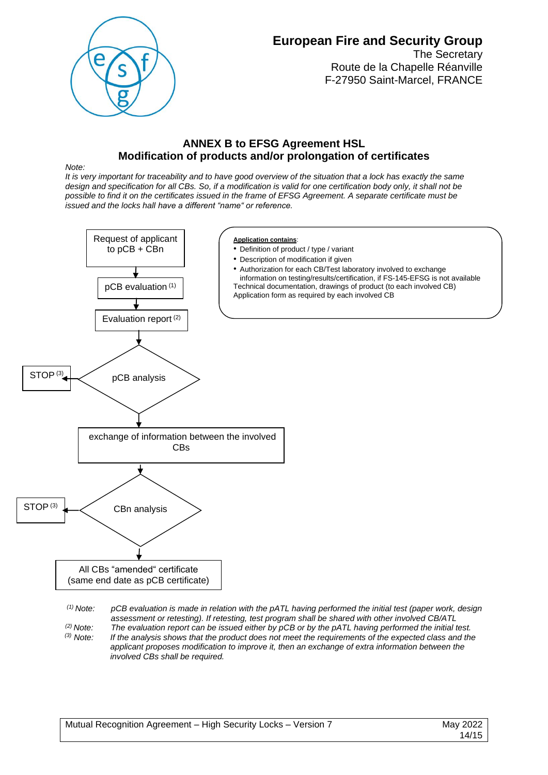

The Secretary Route de la Chapelle Réanville F-27950 Saint-Marcel, FRANCE

## **ANNEX B to EFSG Agreement HSL Modification of products and/or prolongation of certificates**

*Note:* 

*It is very important for traceability and to have good overview of the situation that a lock has exactly the same design and specification for all CBs. So, if a modification is valid for one certification body only, it shall not be possible to find it on the certificates issued in the frame of EFSG Agreement. A separate certificate must be issued and the locks hall have a different "name" or reference.*



*assessment or retesting). If retesting, test program shall be shared with other involved CB/ATL (2) Note: The evaluation report can be issued either by pCB or by the pATL having performed the initial test.*

*(3) Note: If the analysis shows that the product does not meet the requirements of the expected class and the applicant proposes modification to improve it, then an exchange of extra information between the involved CBs shall be required.*